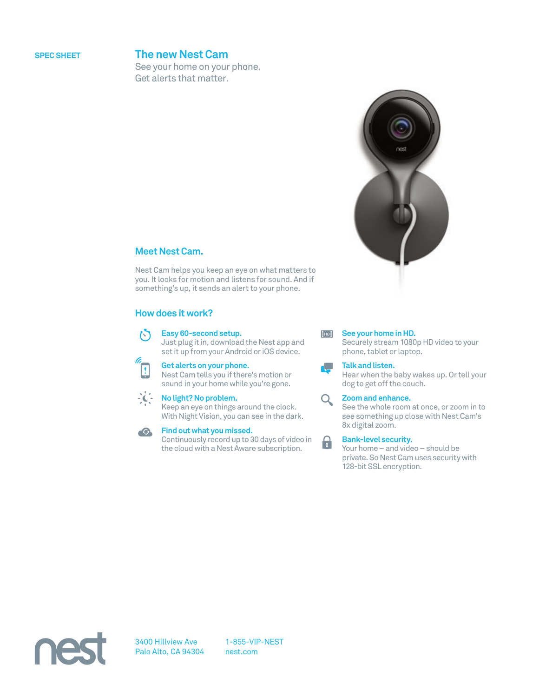# **SPEC SHEET The new Nest Cam**

See your home on your phone. Get alerts that matter.



# **Meet Nest Cam.**

Nest Cam helps you keep an eye on what matters to you. It looks for motion and listens for sound. And if something's up, it sends an alert to your phone.

# **How does it work?**

#### **Easy 60-second setup.**

Just plug it in, download the Nest app and set it up from your Android or iOS device.



内

**Get alerts on your phone.** Nest Cam tells you if there's motion or



**No light? No problem.**

Keep an eye on things around the clock. With Night Vision, you can see in the dark.

sound in your home while you're gone.



# **Find out what you missed.**

Continuously record up to 30 days of video in the cloud with a Nest Aware subscription.



Securely stream 1080p HD video to your phone, tablet or laptop.

## **Talk and listen.**

 $\blacksquare$ 

A

Hear when the baby wakes up. Or tell your dog to get off the couch.

#### $Q_{\parallel}$ **Zoom and enhance.**

See the whole room at once, or zoom in to see something up close with Nest Cam's 8x digital zoom.

### **Bank-level security.**

Your home – and video – should be private. So Nest Cam uses security with 128-bit SSL encryption.



1-855-VIP-NEST nest.com